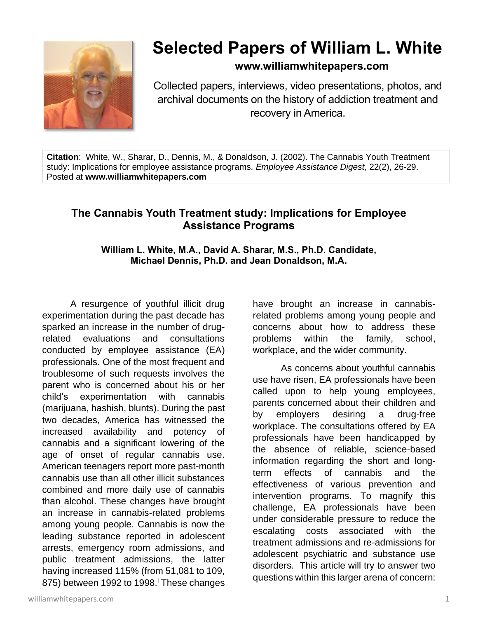

# **Selected Papers of William L. White**

# **www.williamwhitepapers.com**

Collected papers, interviews, video presentations, photos, and archival documents on the history of addiction treatment and recovery in America.

**Citation**: White, W., Sharar, D., Dennis, M., & Donaldson, J. (2002). The Cannabis Youth Treatment study: Implications for employee assistance programs. *Employee Assistance Digest*, 22(2), 26-29. Posted at **www.williamwhitepapers.com**

# **The Cannabis Youth Treatment study: Implications for Employee Assistance Programs**

**William L. White, M.A., David A. Sharar, M.S., Ph.D. Candidate, Michael Dennis, Ph.D. and Jean Donaldson, M.A.**

A resurgence of youthful illicit drug experimentation during the past decade has sparked an increase in the number of drugrelated evaluations and consultations conducted by employee assistance (EA) professionals. One of the most frequent and troublesome of such requests involves the parent who is concerned about his or her child's experimentation with cannabis (marijuana, hashish, blunts). During the past two decades, America has witnessed the increased availability and potency of cannabis and a significant lowering of the age of onset of regular cannabis use. American teenagers report more past-month cannabis use than all other illicit substances combined and more daily use of cannabis than alcohol. These changes have brought an increase in cannabis-related problems among young people. Cannabis is now the leading substance reported in adolescent arrests, emergency room admissions, and public treatment admissions, the latter having increased 115% (from 51,081 to 109, 875) between 1992 to 1998. These changes

have brought an increase in cannabisrelated problems among young people and concerns about how to address these problems within the family, school, workplace, and the wider community.

As concerns about youthful cannabis use have risen, EA professionals have been called upon to help young employees, parents concerned about their children and by employers desiring a drug-free workplace. The consultations offered by EA professionals have been handicapped by the absence of reliable, science-based information regarding the short and longterm effects of cannabis and the effectiveness of various prevention and intervention programs. To magnify this challenge, EA professionals have been under considerable pressure to reduce the escalating costs associated with the treatment admissions and re-admissions for adolescent psychiatric and substance use disorders. This article will try to answer two questions within this larger arena of concern: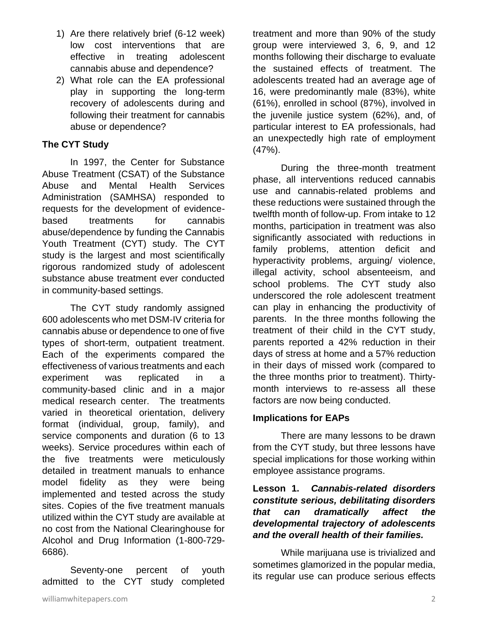- 1) Are there relatively brief (6-12 week) low cost interventions that are effective in treating adolescent cannabis abuse and dependence?
- 2) What role can the EA professional play in supporting the long-term recovery of adolescents during and following their treatment for cannabis abuse or dependence?

## **The CYT Study**

In 1997, the Center for Substance Abuse Treatment (CSAT) of the Substance Abuse and Mental Health Services Administration (SAMHSA) responded to requests for the development of evidencebased treatments for cannabis abuse/dependence by funding the Cannabis Youth Treatment (CYT) study. The CYT study is the largest and most scientifically rigorous randomized study of adolescent substance abuse treatment ever conducted in community-based settings.

The CYT study randomly assigned 600 adolescents who met DSM-IV criteria for cannabis abuse or dependence to one of five types of short-term, outpatient treatment. Each of the experiments compared the effectiveness of various treatments and each experiment was replicated in a community-based clinic and in a major medical research center. The treatments varied in theoretical orientation, delivery format (individual, group, family), and service components and duration (6 to 13 weeks). Service procedures within each of the five treatments were meticulously detailed in treatment manuals to enhance model fidelity as they were being implemented and tested across the study sites. Copies of the five treatment manuals utilized within the CYT study are available at no cost from the National Clearinghouse for Alcohol and Drug Information (1-800-729- 6686).

Seventy-one percent of youth admitted to the CYT study completed

treatment and more than 90% of the study group were interviewed 3, 6, 9, and 12 months following their discharge to evaluate the sustained effects of treatment. The adolescents treated had an average age of 16, were predominantly male (83%), white (61%), enrolled in school (87%), involved in the juvenile justice system (62%), and, of particular interest to EA professionals, had an unexpectedly high rate of employment (47%).

During the three-month treatment phase, all interventions reduced cannabis use and cannabis-related problems and these reductions were sustained through the twelfth month of follow-up. From intake to 12 months, participation in treatment was also significantly associated with reductions in family problems, attention deficit and hyperactivity problems, arguing/ violence, illegal activity, school absenteeism, and school problems. The CYT study also underscored the role adolescent treatment can play in enhancing the productivity of parents. In the three months following the treatment of their child in the CYT study, parents reported a 42% reduction in their days of stress at home and a 57% reduction in their days of missed work (compared to the three months prior to treatment). Thirtymonth interviews to re-assess all these factors are now being conducted.

#### **Implications for EAPs**

There are many lessons to be drawn from the CYT study, but three lessons have special implications for those working within employee assistance programs.

## **Lesson 1.** *Cannabis-related disorders constitute serious, debilitating disorders that can dramatically affect the developmental trajectory of adolescents and the overall health of their families.*

While marijuana use is trivialized and sometimes glamorized in the popular media, its regular use can produce serious effects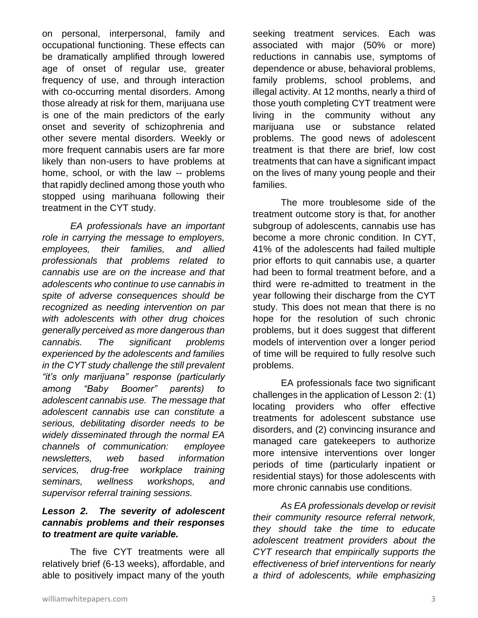on personal, interpersonal, family and occupational functioning. These effects can be dramatically amplified through lowered age of onset of regular use, greater frequency of use, and through interaction with co-occurring mental disorders. Among those already at risk for them, marijuana use is one of the main predictors of the early onset and severity of schizophrenia and other severe mental disorders. Weekly or more frequent cannabis users are far more likely than non-users to have problems at home, school, or with the law -- problems that rapidly declined among those youth who stopped using marihuana following their treatment in the CYT study.

*EA professionals have an important role in carrying the message to employers, employees, their families, and allied professionals that problems related to cannabis use are on the increase and that adolescents who continue to use cannabis in spite of adverse consequences should be recognized as needing intervention on par with adolescents with other drug choices generally perceived as more dangerous than cannabis. The significant problems experienced by the adolescents and families in the CYT study challenge the still prevalent "it's only marijuana" response (particularly among "Baby Boomer" parents) to adolescent cannabis use. The message that adolescent cannabis use can constitute a serious, debilitating disorder needs to be widely disseminated through the normal EA channels of communication: employee newsletters, web based information services, drug-free workplace training seminars, wellness workshops, and supervisor referral training sessions.* 

#### *Lesson 2. The severity of adolescent cannabis problems and their responses to treatment are quite variable.*

The five CYT treatments were all relatively brief (6-13 weeks), affordable, and able to positively impact many of the youth

seeking treatment services. Each was associated with major (50% or more) reductions in cannabis use, symptoms of dependence or abuse, behavioral problems, family problems, school problems, and illegal activity. At 12 months, nearly a third of those youth completing CYT treatment were living in the community without any marijuana use or substance related problems. The good news of adolescent treatment is that there are brief, low cost treatments that can have a significant impact on the lives of many young people and their families.

The more troublesome side of the treatment outcome story is that, for another subgroup of adolescents, cannabis use has become a more chronic condition. In CYT, 41% of the adolescents had failed multiple prior efforts to quit cannabis use, a quarter had been to formal treatment before, and a third were re-admitted to treatment in the year following their discharge from the CYT study. This does not mean that there is no hope for the resolution of such chronic problems, but it does suggest that different models of intervention over a longer period of time will be required to fully resolve such problems.

EA professionals face two significant challenges in the application of Lesson 2: (1) locating providers who offer effective treatments for adolescent substance use disorders, and (2) convincing insurance and managed care gatekeepers to authorize more intensive interventions over longer periods of time (particularly inpatient or residential stays) for those adolescents with more chronic cannabis use conditions.

*As EA professionals develop or revisit their community resource referral network, they should take the time to educate adolescent treatment providers about the CYT research that empirically supports the effectiveness of brief interventions for nearly a third of adolescents, while emphasizing*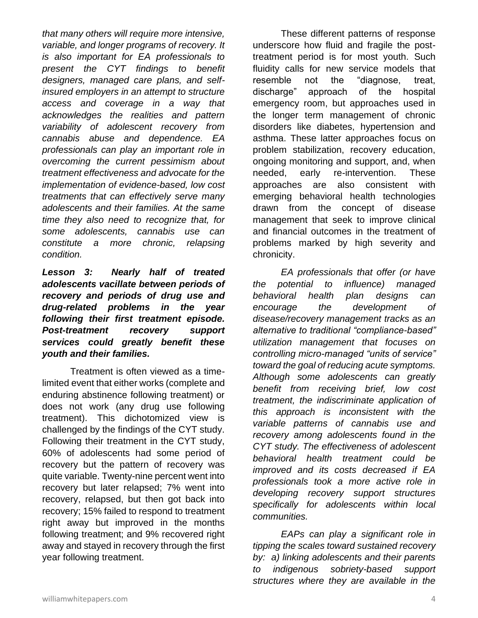*that many others will require more intensive, variable, and longer programs of recovery. It is also important for EA professionals to present the CYT findings to benefit designers, managed care plans, and selfinsured employers in an attempt to structure access and coverage in a way that acknowledges the realities and pattern variability of adolescent recovery from cannabis abuse and dependence. EA professionals can play an important role in overcoming the current pessimism about treatment effectiveness and advocate for the implementation of evidence-based, low cost treatments that can effectively serve many adolescents and their families. At the same time they also need to recognize that, for some adolescents, cannabis use can constitute a more chronic, relapsing condition.* 

*Lesson 3: Nearly half of treated adolescents vacillate between periods of recovery and periods of drug use and drug-related problems in the year following their first treatment episode. Post-treatment recovery support services could greatly benefit these youth and their families.* 

Treatment is often viewed as a timelimited event that either works (complete and enduring abstinence following treatment) or does not work (any drug use following treatment). This dichotomized view is challenged by the findings of the CYT study. Following their treatment in the CYT study, 60% of adolescents had some period of recovery but the pattern of recovery was quite variable. Twenty-nine percent went into recovery but later relapsed; 7% went into recovery, relapsed, but then got back into recovery; 15% failed to respond to treatment right away but improved in the months following treatment; and 9% recovered right away and stayed in recovery through the first year following treatment.

These different patterns of response underscore how fluid and fragile the posttreatment period is for most youth. Such fluidity calls for new service models that resemble not the "diagnose, treat, discharge" approach of the hospital emergency room, but approaches used in the longer term management of chronic disorders like diabetes, hypertension and asthma. These latter approaches focus on problem stabilization, recovery education, ongoing monitoring and support, and, when needed, early re-intervention. These approaches are also consistent with emerging behavioral health technologies drawn from the concept of disease management that seek to improve clinical and financial outcomes in the treatment of problems marked by high severity and chronicity.

*EA professionals that offer (or have the potential to influence) managed behavioral health plan designs can encourage the development of disease/recovery management tracks as an alternative to traditional "compliance-based" utilization management that focuses on controlling micro-managed "units of service" toward the goal of reducing acute symptoms. Although some adolescents can greatly benefit from receiving brief, low cost treatment, the indiscriminate application of this approach is inconsistent with the variable patterns of cannabis use and recovery among adolescents found in the CYT study. The effectiveness of adolescent behavioral health treatment could be improved and its costs decreased if EA professionals took a more active role in developing recovery support structures specifically for adolescents within local communities.* 

*EAPs can play a significant role in tipping the scales toward sustained recovery by: a) linking adolescents and their parents to indigenous sobriety-based support structures where they are available in the*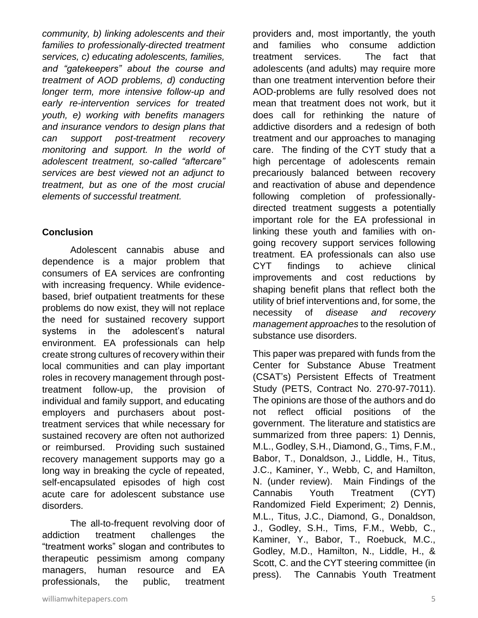*community, b) linking adolescents and their families to professionally-directed treatment services, c) educating adolescents, families, and "gatekeepers" about the course and treatment of AOD problems, d) conducting longer term, more intensive follow-up and early re-intervention services for treated youth, e) working with benefits managers and insurance vendors to design plans that can support post-treatment recovery monitoring and support. In the world of adolescent treatment, so-called "aftercare" services are best viewed not an adjunct to treatment, but as one of the most crucial elements of successful treatment.* 

#### **Conclusion**

Adolescent cannabis abuse and dependence is a major problem that consumers of EA services are confronting with increasing frequency. While evidencebased, brief outpatient treatments for these problems do now exist, they will not replace the need for sustained recovery support systems in the adolescent's natural environment. EA professionals can help create strong cultures of recovery within their local communities and can play important roles in recovery management through posttreatment follow-up, the provision of individual and family support, and educating employers and purchasers about posttreatment services that while necessary for sustained recovery are often not authorized or reimbursed. Providing such sustained recovery management supports may go a long way in breaking the cycle of repeated, self-encapsulated episodes of high cost acute care for adolescent substance use disorders.

The all-to-frequent revolving door of addiction treatment challenges the "treatment works" slogan and contributes to therapeutic pessimism among company managers, human resource and EA professionals, the public, treatment

and families who consume addiction treatment services. The fact that adolescents (and adults) may require more than one treatment intervention before their AOD-problems are fully resolved does not mean that treatment does not work, but it does call for rethinking the nature of addictive disorders and a redesign of both treatment and our approaches to managing care. The finding of the CYT study that a high percentage of adolescents remain precariously balanced between recovery and reactivation of abuse and dependence following completion of professionallydirected treatment suggests a potentially important role for the EA professional in linking these youth and families with ongoing recovery support services following treatment. EA professionals can also use CYT findings to achieve clinical improvements and cost reductions by shaping benefit plans that reflect both the utility of brief interventions and, for some, the necessity of *disease and recovery management approaches* to the resolution of substance use disorders.

providers and, most importantly, the youth

This paper was prepared with funds from the Center for Substance Abuse Treatment (CSAT's) Persistent Effects of Treatment Study (PETS, Contract No. 270-97-7011). The opinions are those of the authors and do not reflect official positions of the government. The literature and statistics are summarized from three papers: 1) Dennis, M.L., Godley, S.H., Diamond, G., Tims, F.M., Babor, T., Donaldson, J., Liddle, H., Titus, J.C., Kaminer, Y., Webb, C, and Hamilton, N. (under review). Main Findings of the Cannabis Youth Treatment (CYT) Randomized Field Experiment; 2) Dennis, M.L., Titus, J.C., Diamond, G., Donaldson, J., Godley, S.H., Tims, F.M., Webb, C., Kaminer, Y., Babor, T., Roebuck, M.C., Godley, M.D., Hamilton, N., Liddle, H., & Scott, C. and the CYT steering committee (in press). The Cannabis Youth Treatment